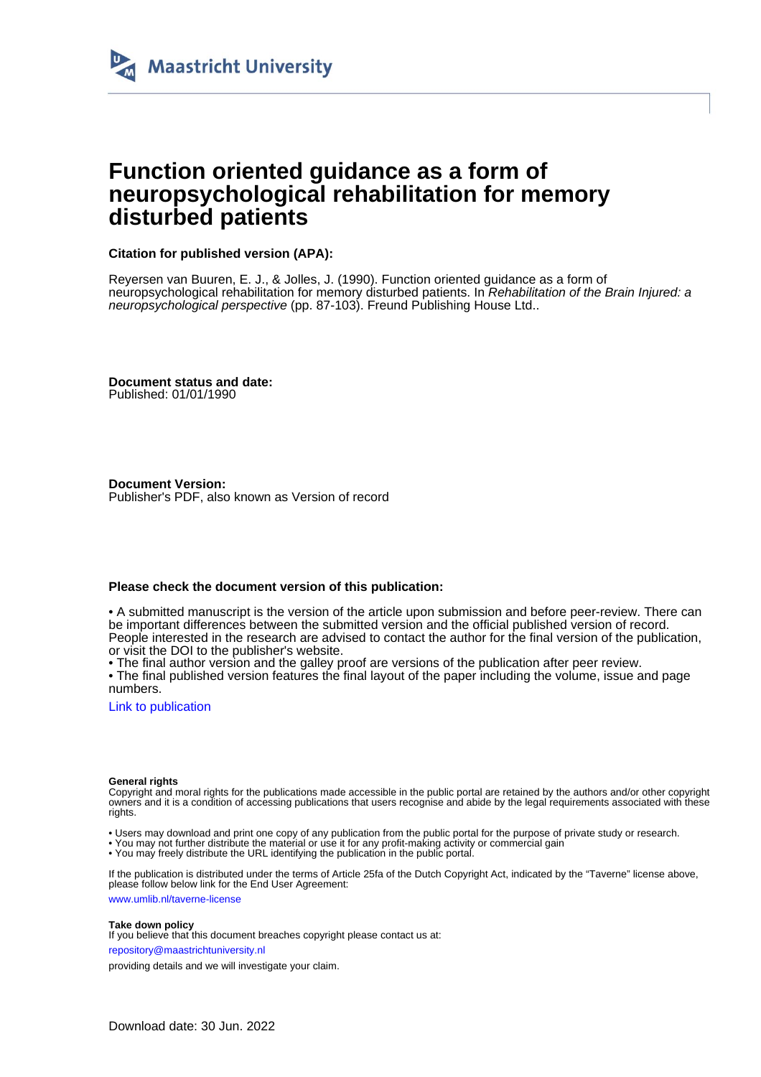

# **Function oriented guidance as a form of neuropsychological rehabilitation for memory disturbed patients**

## **Citation for published version (APA):**

Reyersen van Buuren, E. J., & Jolles, J. (1990). Function oriented guidance as a form of neuropsychological rehabilitation for memory disturbed patients. In Rehabilitation of the Brain Injured: a neuropsychological perspective (pp. 87-103). Freund Publishing House Ltd..

**Document status and date:** Published: 01/01/1990

**Document Version:** Publisher's PDF, also known as Version of record

### **Please check the document version of this publication:**

• A submitted manuscript is the version of the article upon submission and before peer-review. There can be important differences between the submitted version and the official published version of record. People interested in the research are advised to contact the author for the final version of the publication, or visit the DOI to the publisher's website.

• The final author version and the galley proof are versions of the publication after peer review.

• The final published version features the final layout of the paper including the volume, issue and page numbers.

[Link to publication](https://cris.maastrichtuniversity.nl/en/publications/1cf56f9a-ecfb-4a1b-9b8b-79d6157a6de7)

#### **General rights**

Copyright and moral rights for the publications made accessible in the public portal are retained by the authors and/or other copyright owners and it is a condition of accessing publications that users recognise and abide by the legal requirements associated with these rights.

- Users may download and print one copy of any publication from the public portal for the purpose of private study or research.
- You may not further distribute the material or use it for any profit-making activity or commercial gain
- You may freely distribute the URL identifying the publication in the public portal.

If the publication is distributed under the terms of Article 25fa of the Dutch Copyright Act, indicated by the "Taverne" license above, please follow below link for the End User Agreement:

www.umlib.nl/taverne-license

#### **Take down policy**

If you believe that this document breaches copyright please contact us at: repository@maastrichtuniversity.nl

providing details and we will investigate your claim.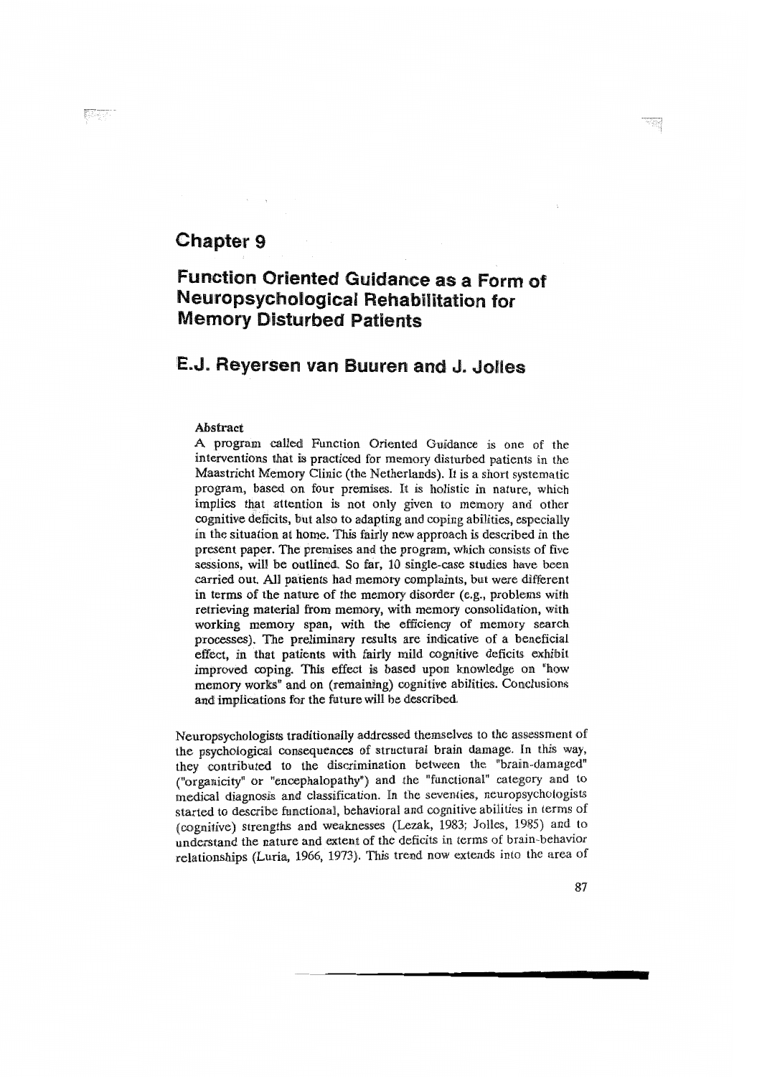# Chapter 9

# Function Oriented Guidance as a Form of Neuropsychological Rehabilitation for **Memory Disturbed Patients**

# E.J. Reyersen van Buuren and J. Jolles

#### Abstract

A program called Function Oriented Guidance is one of the interventions that is practiced for memory disturbed patients in the Maastricht Memory Clinic (the Netherlands). It is a short systematic program, based on four premises. It is holistic in nature, which implies that attention is not only given to memory and other cognitive deficits, but also to adapting and coping abilities, especially in the situation at home. This fairly new approach is described in the present paper. The premises and the program, which consists of five sessions, will be outlined. So far, 10 single-case studies have been carried out. All patients had memory complaints, but were different in terms of the nature of the memory disorder (e.g., problems with retrieving material from memory, with memory consolidation, with working memory span, with the efficiency of memory search processes). The preliminary results are indicative of a beneficial effect, in that patients with fairly mild cognitive deficits exhibit improved coping. This effect is based upon knowledge on "how memory works" and on (remaining) cognitive abilities. Conclusions and implications for the future will be described.

Neuropsychologists traditionally addressed themselves to the assessment of the psychological consequences of structural brain damage. In this way, they contributed to the discrimination between the "brain-damaged" ("organicity" or "encephalopathy") and the "functional" category and to medical diagnosis and classification. In the seventies, neuropsychologists started to describe functional, behavioral and cognitive abilities in terms of (cognitive) strengths and weaknesses (Lezak, 1983; Jolles, 1985) and to understand the nature and extent of the deficits in terms of brain-behavior relationships (Luria, 1966, 1973). This trend now extends into the area of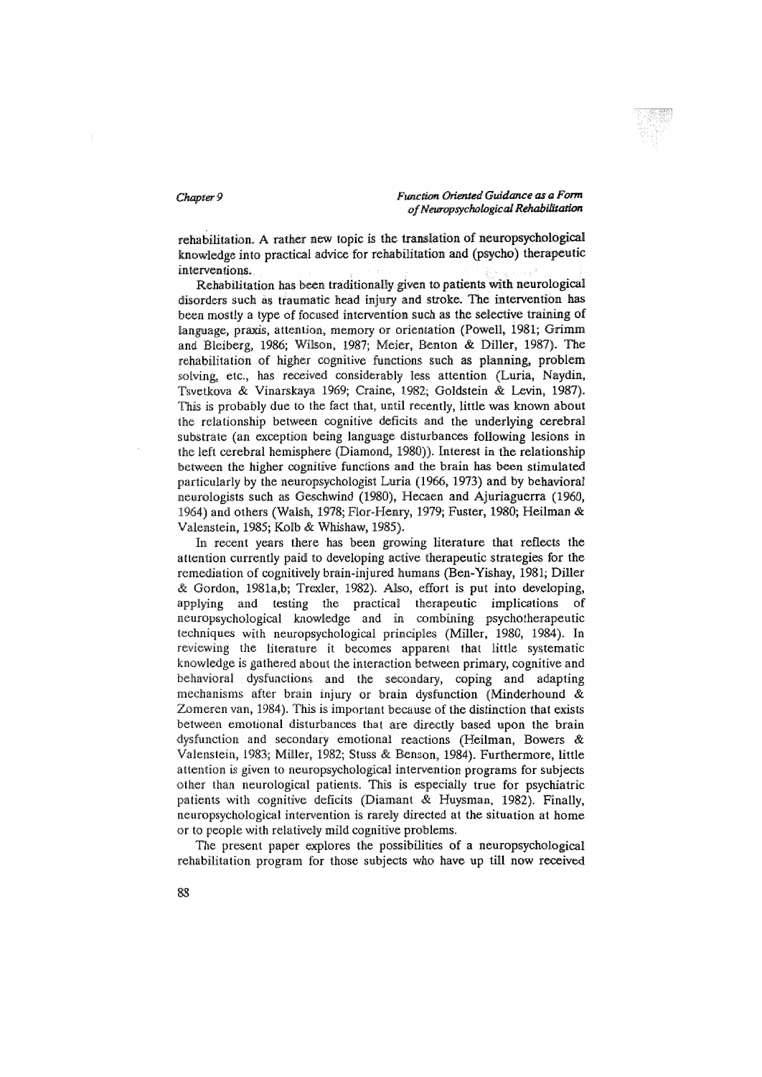rehabilitation. A rather new topic is the translation of neuropsychological knowledge into practical advice for rehabilitation and (psycho) therapeutic interventions.

Rehabilitation has been traditionally given to patients with neurological disorders such as traumatic head injury and stroke. The intervention has been mostly a type of focused intervention such as the selective training of language, praxis, attention, memory or orientation (Powell, 1981; Grimm and Bleiberg, 1986; Wilson, 1987; Meier, Benton & Diller, 1987). The rehabilitation of higher cognitive functions such as planning, problem solving, etc., has received considerably less attention (Luria, Naydin, Tsvetkova & Vinarskaya 1969; Craine, 1982; Goldstein & Levin, 1987). This is probably due to the fact that, until recently, little was known about the relationship between cognitive deficits and the underlying cerebral substrate (an exception being language disturbances following lesions in the left cerebral hemisphere (Diamond, 1980)). Interest in the relationship between the higher cognitive functions and the brain has been stimulated particularly by the neuropsychologist Luria (1966, 1973) and by behavioral neurologists such as Geschwind (1980), Hecaen and Ajuriaguerra (1960, 1964) and others (Walsh, 1978; Flor-Henry, 1979; Fuster, 1980; Heilman & Valenstein, 1985; Kolb & Whishaw, 1985).

In recent years there has been growing literature that reflects the attention currently paid to developing active therapeutic strategies for the remediation of cognitively brain-injured humans (Ben-Yishay, 1981; Diller & Gordon, 1981a,b; Trexler, 1982). Also, effort is put into developing, applying and testing the practical therapeutic implications of neuropsychological knowledge and in combining psychotherapeutic techniques with neuropsychological principles (Miller, 1980, 1984). In reviewing the literature it becomes apparent that little systematic knowledge is gathered about the interaction between primary, cognitive and behavioral dysfunctions and the secondary, coping and adapting mechanisms after brain injury or brain dysfunction (Minderhound  $\alpha$ Zomeren van, 1984). This is important because of the distinction that exists between emotional disturbances that are directly based upon the brain dysfunction and secondary emotional reactions (Heilman, Bowers & Valenstein, 1983; Miller, 1982; Stuss & Benson, 1984). Furthermore, little attention is given to neuropsychological intervention programs for subjects other than neurological patients. This is especially true for psychiatric patients with cognitive deficits (Diamant & Huysman, 1982). Finally, neuropsychological intervention is rarely directed at the situation at home or to people with relatively mild cognitive problems.

The present paper explores the possibilities of a neuropsychological rehabilitation program for those subjects who have up till now received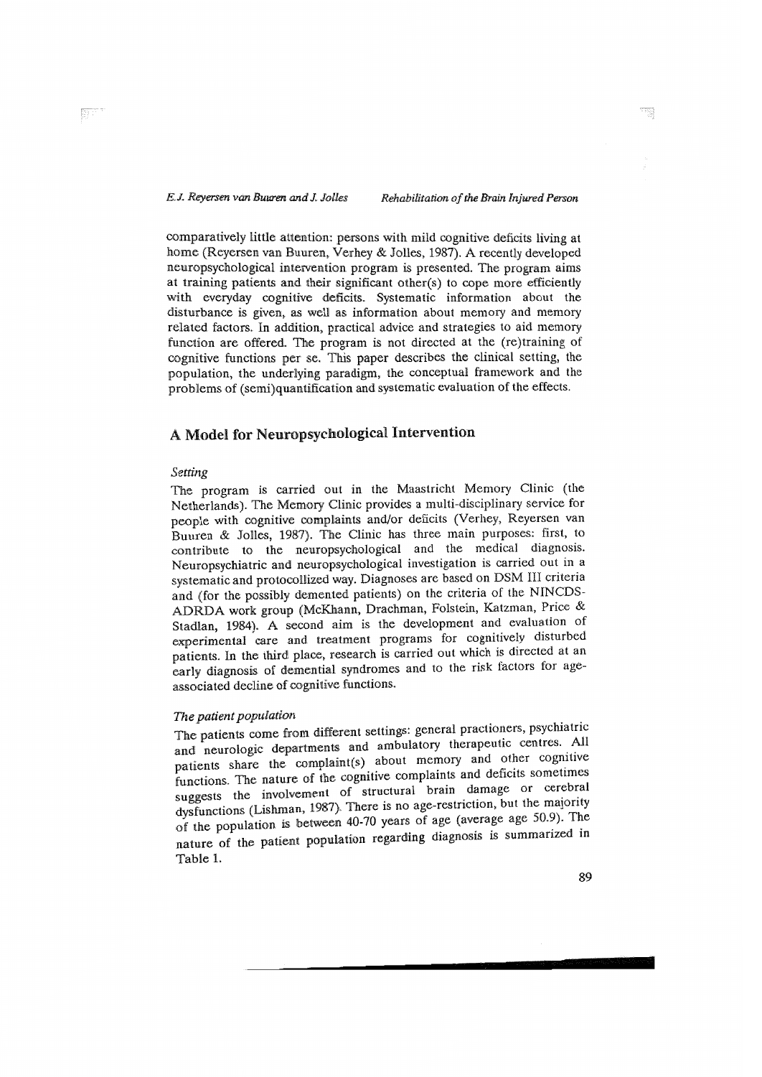comparatively little attention: persons with mild cognitive deficits living at home (Reyersen van Buuren, Verhey & Jolles, 1987). A recently developed neuropsychological intervention program is presented. The program aims<br>at training patients and their significant other(s) to cope more efficiently with everyday cognitive deficits. Systematic information about the disturbance is given, as well as information about memory and memory related factors. In addition, practical advice and strategies to aid memory function are offered. The program is not directed at the (re)training of cognitive functions per se. This paper describes the clinical setting, the population, the underlying paradigm, the conceptual framework and the problems of (semi)quantification and systematic evaluation of the effects.

# A Model for Neuropsychological Intervention

## Setting

The program is carried out in the Maastricht Memory Clinic (the Netherlands). The Memory Clinic provides a multi-disciplinary service for people with cognitive complaints and/or deficits (Verhey, Reversen van Buuren & Jolles, 1987). The Clinic has three main purposes: first, to contribute to the neuropsychological and the medical diagnosis. Neuropsychiatric and neuropsychological investigation is carried out in a systematic and protocollized way. Diagnoses are based on DSM III criteria and (for the possibly demented patients) on the criteria of the NINCDS-<br>ADRDA work group (McKhann, Drachman, Folstein, Katzman, Price & Stadlan, 1984). A second aim is the development and evaluation of experimental care and treatment programs for cognitively disturbed patients. In the third place, research is carried out which is directed at an early diagnosis of demential syndromes and to the risk factors for ageassociated decline of cognitive functions.

## The patient population

The patients come from different settings: general practioners, psychiatric and neurologic departments and ambulatory therapeutic centres. All patients share the complaint(s) about memory and other cognitive functions. The nature of the cognitive complaints and deficits sometimes suggests the involvement of structural brain damage or cerebral dysfunctions (Lishman, 1987). There is no age-restriction, but the majority<br>of the population is between 40-70 years of age (average age 50.9). The nature of the patient population regarding diagnosis is summarized in Table 1.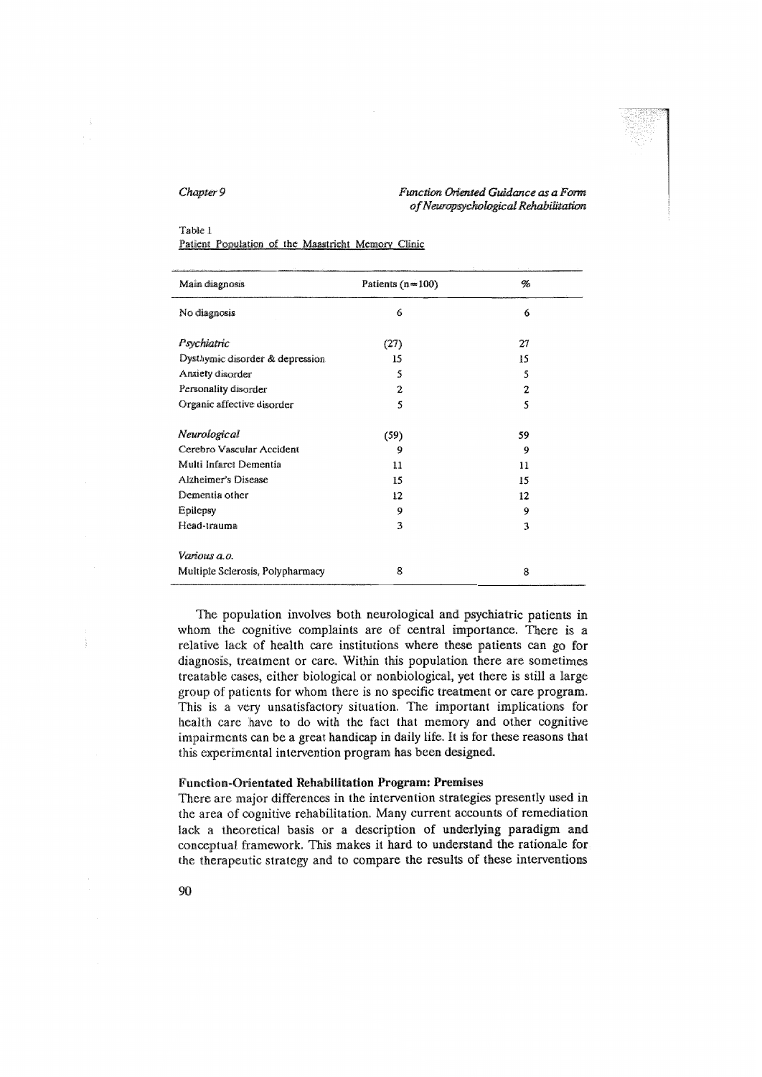#### Table 1

Patient Population of the Maastricht Memory Clinic

| Main diagnosis                   | Patients $(n=100)$ | %  |
|----------------------------------|--------------------|----|
| No diagnosis                     | 6                  | 6  |
| Psychiatric                      | (27)               | 27 |
| Dysthymic disorder & depression  | 15                 | 15 |
| Anxiety disorder                 | 5                  | 5  |
| Personality disorder             | 2                  | 2  |
| Organic affective disorder       | 5                  | 5  |
| Neurological                     | (59)               | 59 |
| Cerebro Vascular Accident        | 9                  | 9  |
| Multi Infarct Dementia           | 11                 | 11 |
| Alzheimer's Disease              | 15                 | 15 |
| Dementia other                   | 12                 | 12 |
| <b>Epilepsy</b>                  | 9                  | 9  |
| Head-trauma                      | 3                  | 3  |
| Various a.o.                     |                    |    |
| Multiple Sclerosis, Polypharmacy | 8                  | 8  |

The population involves both neurological and psychiatric patients in whom the cognitive complaints are of central importance. There is a relative lack of health care institutions where these patients can go for diagnosis, treatment or care. Within this population there are sometimes treatable cases, either biological or nonbiological, yet there is still a large group of patients for whom there is no specific treatment or care program. This is a very unsatisfactory situation. The important implications for health care have to do with the fact that memory and other cognitive impairments can be a great handicap in daily life. It is for these reasons that this experimental intervention program has been designed.

### **Function-Orientated Rehabilitation Program: Premises**

There are major differences in the intervention strategies presently used in the area of cognitive rehabilitation. Many current accounts of remediation lack a theoretical basis or a description of underlying paradigm and conceptual framework. This makes it hard to understand the rationale for the therapeutic strategy and to compare the results of these interventions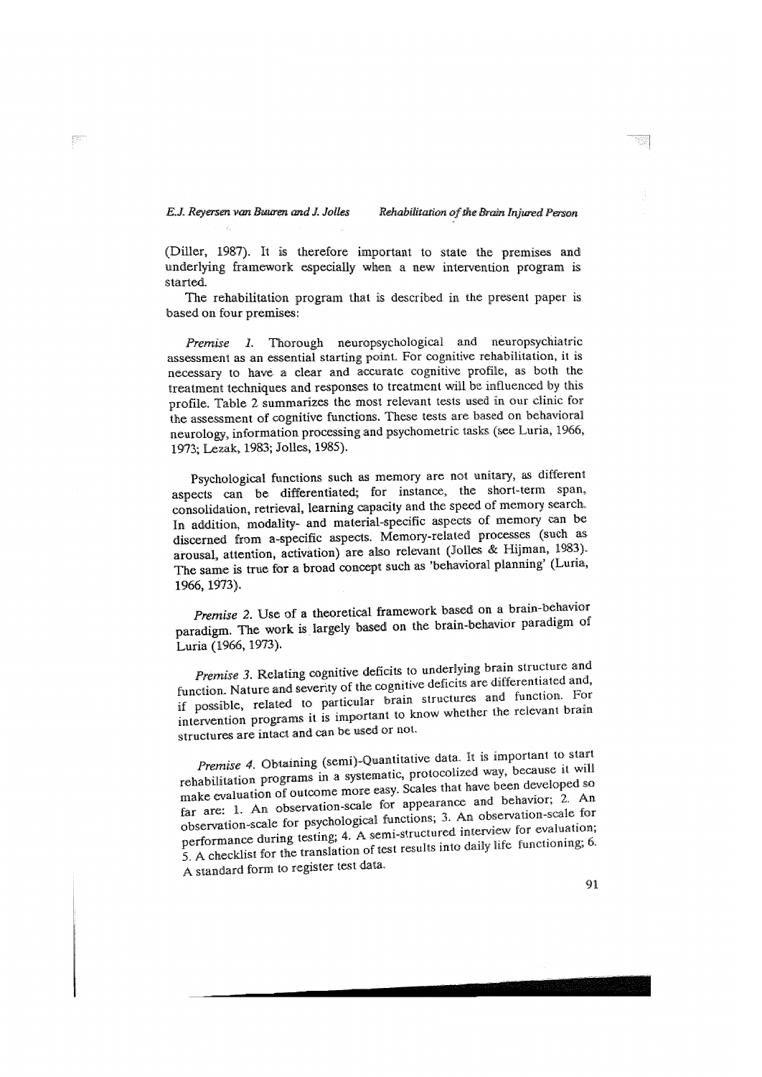(Diller, 1987). It is therefore important to state the premises and underlying framework especially when a new intervention program is .<br>started

The rehabilitation program that is described in the present paper is based on four premises:

Thorough neuropsychological and neuropsychiatric Premise 1. assessment as an essential starting point. For cognitive rehabilitation, it is necessary to have a clear and accurate cognitive profile, as both the treatment techniques and responses to treatment will be influenced by this profile. Table 2 summarizes the most relevant tests used in our clinic for the assessment of cognitive functions. These tests are based on behavioral neurology, information processing and psychometric tasks (see Luria, 1966, 1973; Lezak, 1983; Jolles, 1985).

Psychological functions such as memory are not unitary, as different aspects can be differentiated; for instance, the short-term span, consolidation, retrieval, learning capacity and the speed of memory search. In addition, modality- and material-specific aspects of memory can be discerned from a-specific aspects. Memory-related processes (such as arousal, attention, activation) are also relevant (Jolles & Hijman, 1983). The same is true for a broad concept such as 'behavioral planning' (Luria, 1966, 1973).

Premise 2. Use of a theoretical framework based on a brain-behavior paradigm. The work is largely based on the brain-behavior paradigm of Luria (1966, 1973).

Premise 3. Relating cognitive deficits to underlying brain structure and function. Nature and severity of the cognitive deficits are differentiated and, if possible, related to particular brain structures and function. For intervention programs it is important to know whether the relevant brain structures are intact and can be used or not.

Premise 4. Obtaining (semi)-Quantitative data. It is important to start rehabilitation programs in a systematic, protocolized way, because it will make evaluation of outcome more easy. Scales that have been developed so far are: 1. An observation-scale for appearance and behavior; 2. An observation-scale for psychological functions; 3. An observation-scale for performance during testing; 4. A semi-structured interview for evaluation;<br>5. A checklist for the translation of test results into daily life functioning; 6. A standard form to register test data.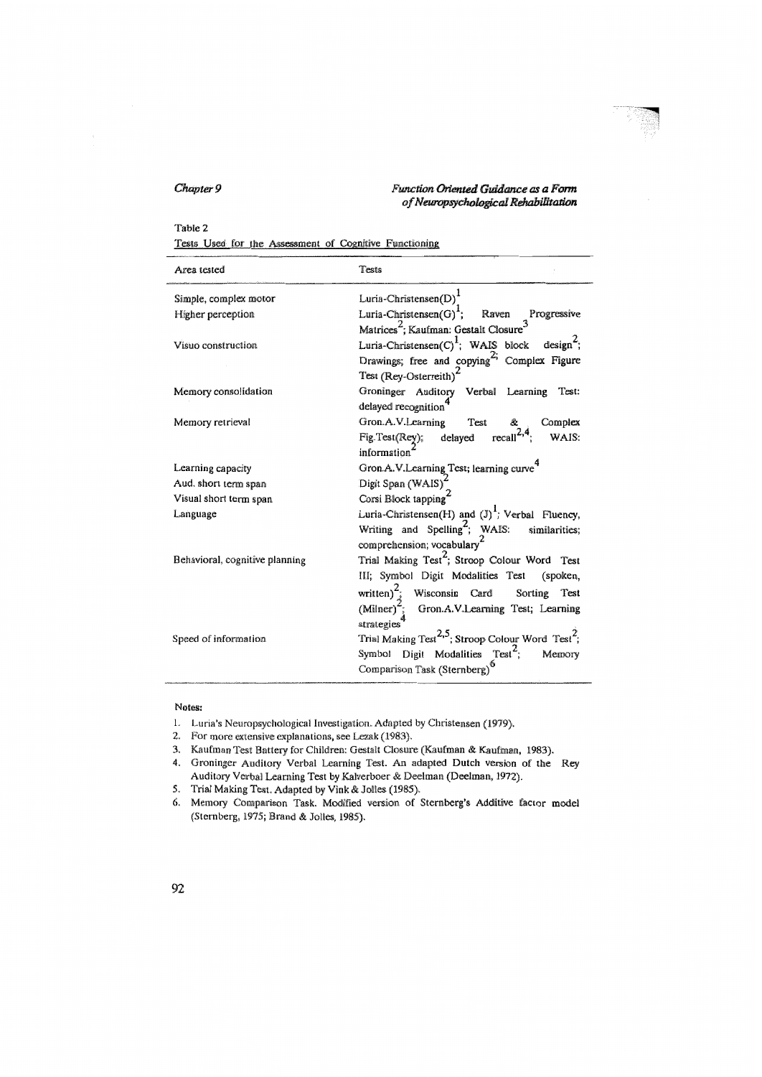#### Function Oriented Guidance as a Form of Neuropsychological Rehabilitation

#### Table 2

Tests Used for the Assessment of Cognitive Functioning

| Area tested                    | Tests                                                                     |
|--------------------------------|---------------------------------------------------------------------------|
| Simple, complex motor          | Luria-Christensen(D) <sup>1</sup>                                         |
| Higher perception              | Luria-Christensen(G) <sup>1</sup> ; Raven Progressive                     |
|                                | Matrices <sup>2</sup> ; Kaufman: Gestalt Closure <sup>3</sup>             |
| Visuo construction             | Luria-Christensen(C) <sup>1</sup> ; WAIS block design <sup>2</sup> ;      |
|                                | Drawings; free and copying <sup>2;</sup> Complex Figure                   |
|                                | Test (Rey-Osterreith) <sup>2</sup>                                        |
| Memory consolidation           | Groninger Auditory Verbal Learning<br>Test:                               |
|                                | delayed recognition                                                       |
| Memory retrieval               | Gron.A.V.Learning<br>Test<br>Complex<br>&.                                |
|                                | Fig.Test(Rey); delayed recall <sup>2,4</sup> ;<br>WAIS:                   |
|                                | information'                                                              |
| Learning capacity              | Gron.A.V.Learning Test; learning curve <sup>4</sup>                       |
| Aud. short term span           | Digit Span (WAIS) <sup>2</sup>                                            |
| Visual short term span         | Corsi Block tapping                                                       |
| Language                       | Luria-Christensen(H) and $(J)$ <sup>1</sup> ; Verbal Fluency,             |
|                                | Writing and Spelling <sup>2</sup> ; WAIS: similarities;                   |
|                                | comprehension; vocabulary <sup>2</sup>                                    |
| Behavioral, cognitive planning | Trial Making Test <sup>2</sup> ; Stroop Colour Word Test                  |
|                                | III; Symbol Digit Modalities Test<br>(spoken,                             |
|                                | written) <sup>2</sup> ; Wisconsin Card<br>Sorting<br>Test                 |
|                                | (Milner) <sup>2</sup> ; Gron.A.V.Learning Test; Learning                  |
|                                | strategies                                                                |
| Speed of information           | Trial Making Test <sup>2,5</sup> ; Stroop Colour Word Test <sup>2</sup> ; |
|                                | Symbol Digit Modalities Test <sup>2</sup> ;<br>Memory                     |
|                                | Comparison Task (Sternberg) <sup>6</sup>                                  |
|                                |                                                                           |

#### Notes:

- 1. Luria's Neuropsychological Investigation. Adapted by Christensen (1979).
- 2. For more extensive explanations, see Lezak (1983).
- 3. Kaufman Test Battery for Children: Gestalt Closure (Kaufman & Kaufman, 1983).
- 4. Groninger Auditory Verbal Learning Test. An adapted Dutch version of the Rey Auditory Verbal Learning Test by Kalverboer & Deelman (Deelman, 1972).
- 5. Trial Making Test. Adapted by Vink & Jolles (1985).
- Memory Comparison Task. Modified version of Sternberg's Additive factor model 6. (Sternberg, 1975; Brand & Jolles, 1985).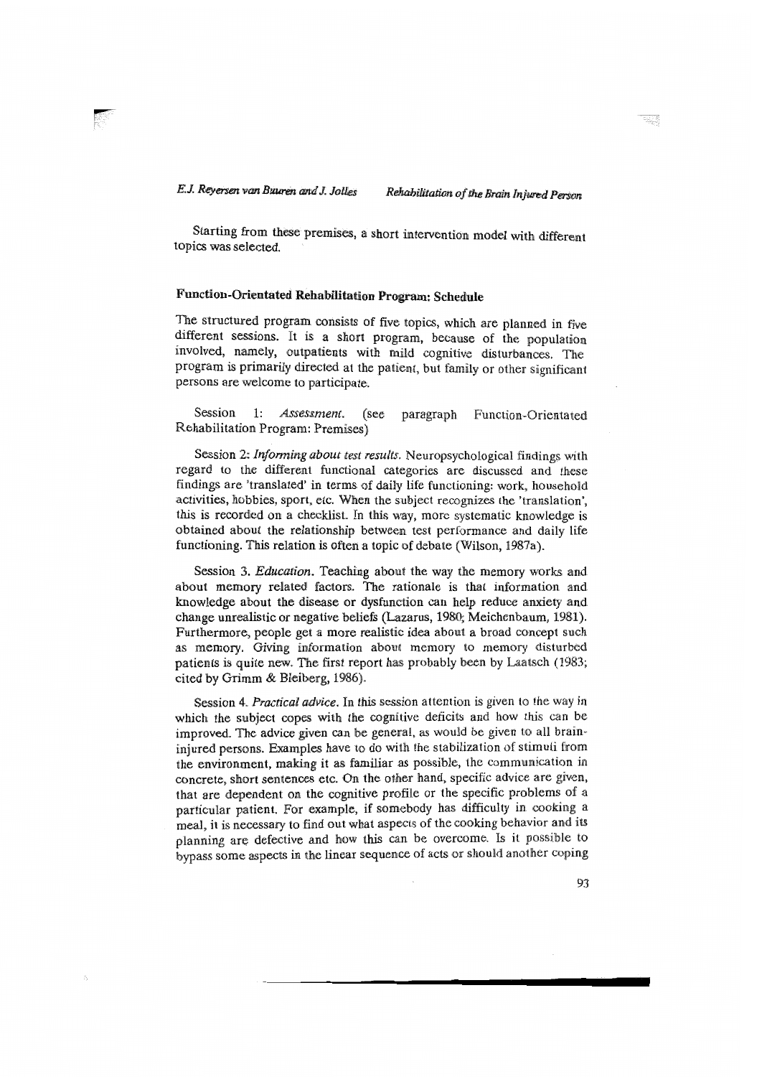Starting from these premises, a short intervention model with different topics was selected.

# Function-Orientated Rehabilitation Program: Schedule

The structured program consists of five topics, which are planned in five different sessions. It is a short program, because of the population involved, namely, outpatients with mild cognitive disturbances. The program is primarily directed at the patient, but family or other significant persons are welcome to participate.

 $1:$ Assessment. Session (see paragraph Function-Orientated Rehabilitation Program: Premises)

Session 2: Informing about test results. Neuropsychological findings with regard to the different functional categories are discussed and these findings are 'translated' in terms of daily life functioning: work, household activities, hobbies, sport, etc. When the subject recognizes the 'translation'. this is recorded on a checklist. In this way, more systematic knowledge is obtained about the relationship between test performance and daily life functioning. This relation is often a topic of debate (Wilson, 1987a).

Session 3. Education. Teaching about the way the memory works and about memory related factors. The rationale is that information and knowledge about the disease or dysfunction can help reduce anxiety and change unrealistic or negative beliefs (Lazarus, 1980; Meichenbaum, 1981). Furthermore, people get a more realistic idea about a broad concept such as memory. Giving information about memory to memory disturbed patients is quite new. The first report has probably been by Laatsch (1983; cited by Grimm & Bleiberg, 1986).

Session 4. Practical advice. In this session attention is given to the way in which the subject copes with the cognitive deficits and how this can be improved. The advice given can be general, as would be given to all braininjured persons. Examples have to do with the stabilization of stimuli from the environment, making it as familiar as possible, the communication in concrete, short sentences etc. On the other hand, specific advice are given, that are dependent on the cognitive profile or the specific problems of a particular patient. For example, if somebody has difficulty in cooking a meal, it is necessary to find out what aspects of the cooking behavior and its planning are defective and how this can be overcome. Is it possible to bypass some aspects in the linear sequence of acts or should another coping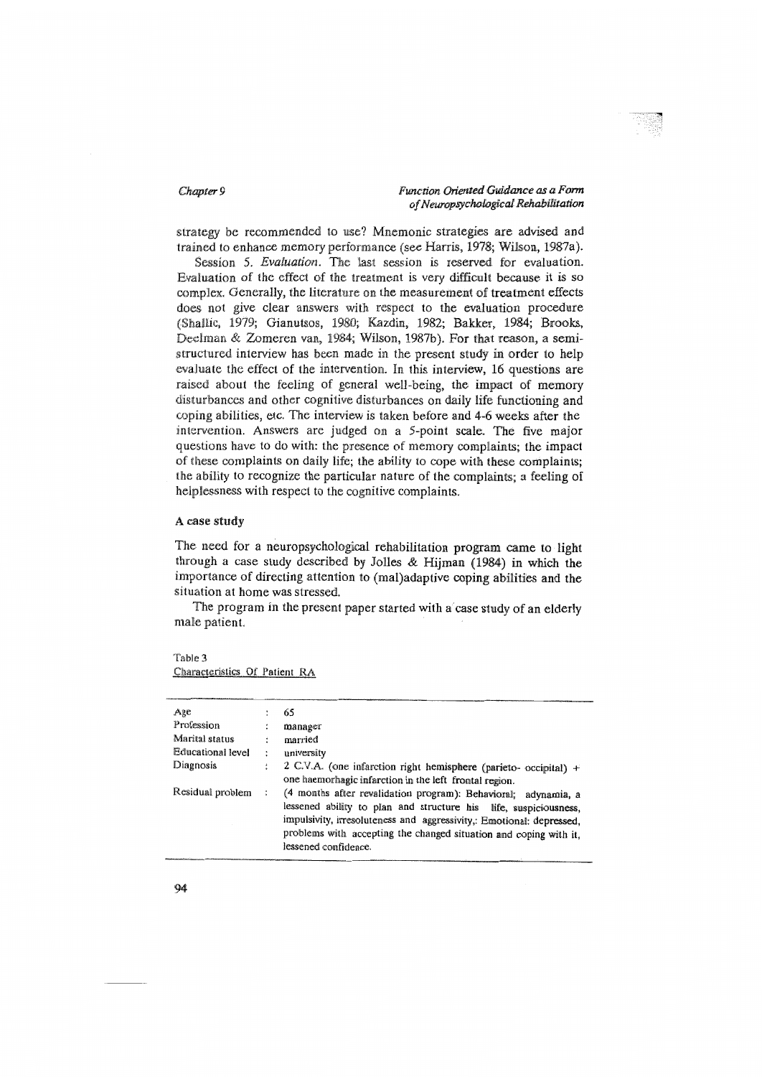strategy be recommended to use? Mnemonic strategies are advised and trained to enhance memory performance (see Harris, 1978; Wilson, 1987a).

Session 5. Evaluation. The last session is reserved for evaluation. Evaluation of the effect of the treatment is very difficult because it is so complex. Generally, the literature on the measurement of treatment effects does not give clear answers with respect to the evaluation procedure (Shallic, 1979; Gianutsos, 1980; Kazdin, 1982; Bakker, 1984; Brooks, Deelman & Zomeren van, 1984; Wilson, 1987b). For that reason, a semistructured interview has been made in the present study in order to help evaluate the effect of the intervention. In this interview, 16 questions are raised about the feeling of general well-being, the impact of memory disturbances and other cognitive disturbances on daily life functioning and coping abilities, etc. The interview is taken before and 4-6 weeks after the intervention. Answers are judged on a 5-point scale. The five major questions have to do with: the presence of memory complaints; the impact of these complaints on daily life; the ability to cope with these complaints; the ability to recognize the particular nature of the complaints; a feeling of helplessness with respect to the cognitive complaints.

### A case study

The need for a neuropsychological rehabilitation program came to light through a case study described by Jolles & Hijman (1984) in which the importance of directing attention to (mal)adaptive coping abilities and the situation at home was stressed

The program in the present paper started with a case study of an elderly male patient.

| Age               |   | 65                                                                                                                                                                                                                                                                                                      |
|-------------------|---|---------------------------------------------------------------------------------------------------------------------------------------------------------------------------------------------------------------------------------------------------------------------------------------------------------|
| Profession        | ÷ | manager                                                                                                                                                                                                                                                                                                 |
| Marital status    | ÷ | married                                                                                                                                                                                                                                                                                                 |
| Educational level | ÷ | university                                                                                                                                                                                                                                                                                              |
| Diagnosis         |   | 2 C.V.A. (one infarction right hemisphere (parieto- occipital) +                                                                                                                                                                                                                                        |
|                   |   | one haemorhagic infarction in the left frontal region.                                                                                                                                                                                                                                                  |
| Residual problem  |   | (4 months after revalidation program): Behavioral; adynamia, a<br>lessened ability to plan and structure his life, suspiciousness,<br>impulsivity, irresoluteness and aggressivity,: Emotional: depressed.<br>problems with accepting the changed situation and coping with it,<br>lessened confidence. |

Table 3 Characteristics Of Patient RA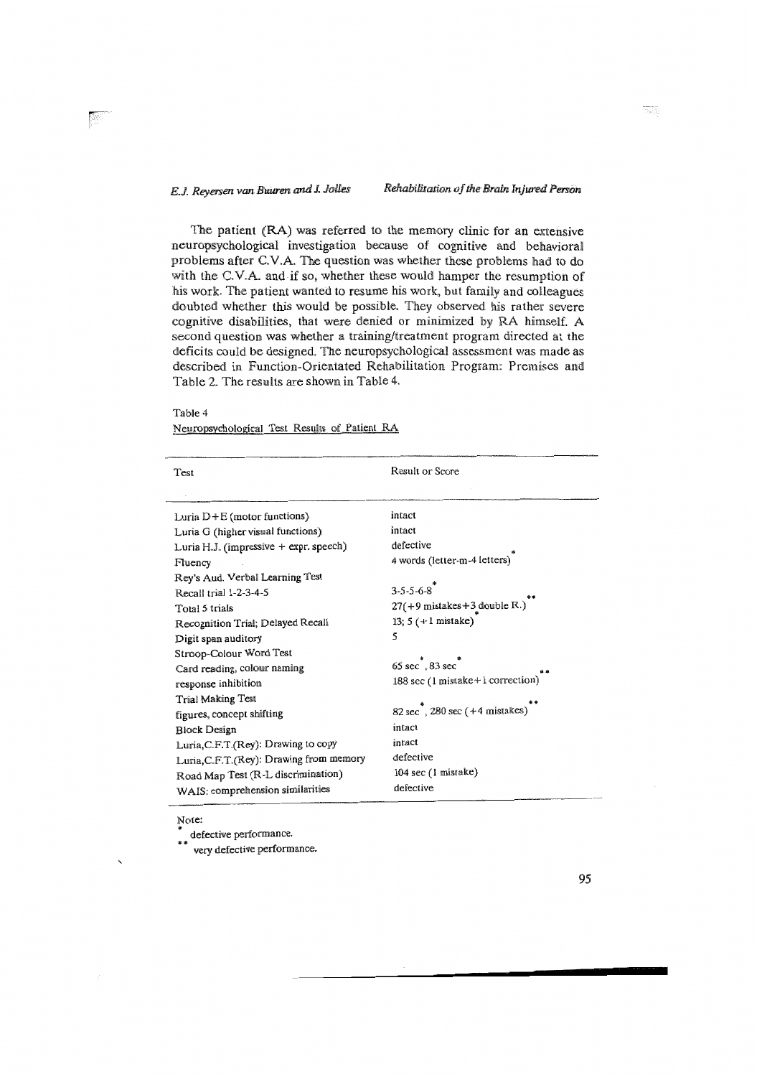The patient (RA) was referred to the memory clinic for an extensive neuropsychological investigation because of cognitive and behavioral problems after C.V.A. The question was whether these problems had to do with the C.V.A. and if so, whether these would hamper the resumption of his work. The patient wanted to resume his work, but family and colleagues doubted whether this would be possible. They observed his rather severe cognitive disabilities, that were denied or minimized by RA himself. A second question was whether a training/treatment program directed at the deficits could be designed. The neuropsychological assessment was made as described in Function-Orientated Rehabilitation Program: Premises and Table 2. The results are shown in Table 4.

Table 4

| Neuropsychological Test Results of Patient RA |  |  |  |
|-----------------------------------------------|--|--|--|
|                                               |  |  |  |

| Test                                     | Result or Score                                  |
|------------------------------------------|--------------------------------------------------|
| Luria D+E (motor functions)              | intact                                           |
| Luria G (higher visual functions)        | intact                                           |
| Luria H.J. (impressive + expr. speech)   | defective                                        |
| Fluency                                  | 4 words (letter-m-4 letters)                     |
| Rey's Aud. Verbal Learning Test          |                                                  |
| Recall trial 1-2-3-4-5                   | $3 - 5 - 5 - 6 - 8$                              |
| Total 5 trials                           | $27(+9$ mistakes +3 double R.)                   |
| Recognition Trial; Delayed Recall        | 13; $5 (+1$ mistake)                             |
| Digit span auditory                      | 5                                                |
| Stroop-Colour Word Test                  |                                                  |
| Card reading, colour naming              | 65 sec <sup>\$</sup> , 83 sec <sup>\$</sup>      |
| response inhibition                      | 188 sec (1 mistake+1 correction)                 |
| Trial Making Test                        |                                                  |
| figures, concept shifting                | $82 \sec^*$ , 280 sec (+4 mistakes) <sup>*</sup> |
| <b>Block Design</b>                      | intact                                           |
| Luria, C.F.T. (Rey): Drawing to copy     | intact                                           |
| Luria, C.F.T. (Rey): Drawing from memory | defective                                        |
| Road Map Test (R-L discrimination)       | 104 sec (1 mistake)                              |
| WAIS: comprehension similarities         | defective                                        |

Note:

defective performance.

very defective performance.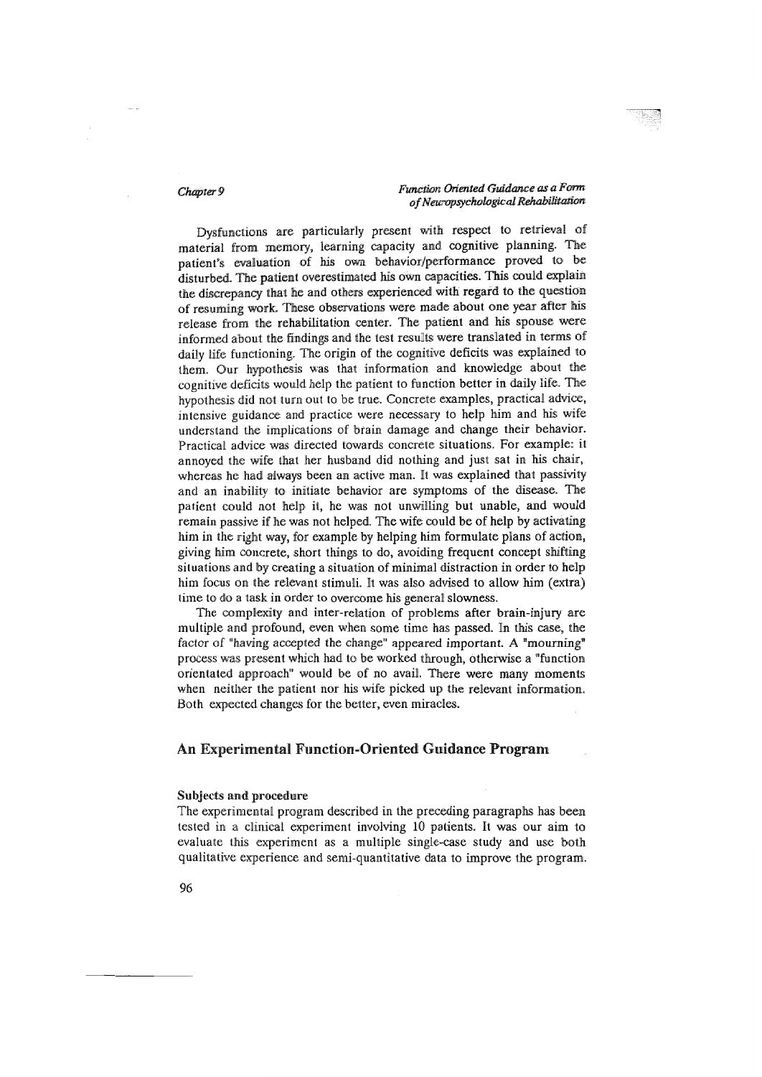Dysfunctions are particularly present with respect to retrieval of material from memory, learning capacity and cognitive planning. The patient's evaluation of his own behavior/performance proved to be disturbed. The patient overestimated his own capacities. This could explain the discrepancy that he and others experienced with regard to the question of resuming work. These observations were made about one year after his release from the rehabilitation center. The patient and his spouse were informed about the findings and the test results were translated in terms of daily life functioning. The origin of the cognitive deficits was explained to them. Our hypothesis was that information and knowledge about the cognitive deficits would help the patient to function better in daily life. The hypothesis did not turn out to be true. Concrete examples, practical advice, intensive guidance and practice were necessary to help him and his wife understand the implications of brain damage and change their behavior. Practical advice was directed towards concrete situations. For example: it annoyed the wife that her husband did nothing and just sat in his chair, whereas he had always been an active man. It was explained that passivity and an inability to initiate behavior are symptoms of the disease. The patient could not help it, he was not unwilling but unable, and would remain passive if he was not helped. The wife could be of help by activating him in the right way, for example by helping him formulate plans of action, giving him concrete, short things to do, avoiding frequent concept shifting situations and by creating a situation of minimal distraction in order to help him focus on the relevant stimuli. It was also advised to allow him (extra) time to do a task in order to overcome his general slowness.

The complexity and inter-relation of problems after brain-injury are multiple and profound, even when some time has passed. In this case, the factor of "having accepted the change" appeared important. A "mourning" process was present which had to be worked through, otherwise a "function orientated approach" would be of no avail. There were many moments when neither the patient nor his wife picked up the relevant information. Both expected changes for the better, even miracles.

## An Experimental Function-Oriented Guidance Program

### Subjects and procedure

The experimental program described in the preceding paragraphs has been tested in a clinical experiment involving 10 patients. It was our aim to evaluate this experiment as a multiple single-case study and use both qualitative experience and semi-quantitative data to improve the program.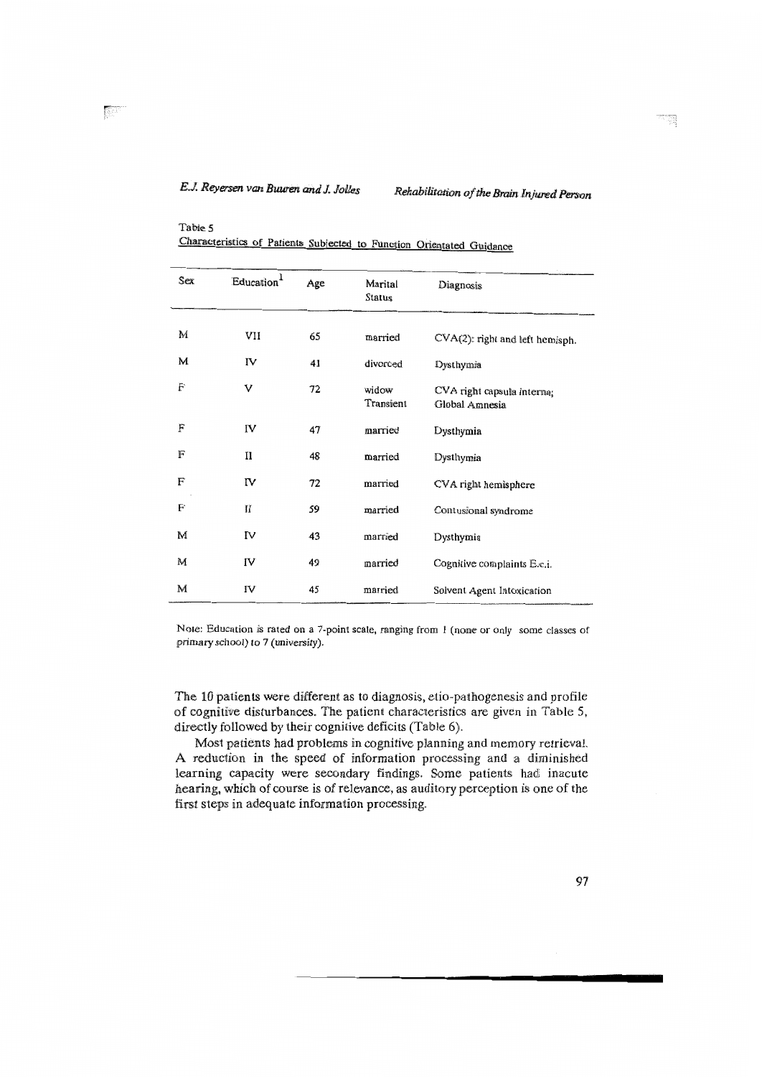Table 5

| Sex | Education <sup>1</sup> | Age | Marital<br>Status  | Diagnosis                                    |
|-----|------------------------|-----|--------------------|----------------------------------------------|
| M   |                        |     |                    |                                              |
|     | VII                    | 65  | married            | CVA(2): right and left hemisph.              |
| M   | IV                     | 41  | divorced           | Dysthymia                                    |
| F   | v                      | 72  | widow<br>Transient | CVA right capsula interna;<br>Global Amnesia |
| F   | IV                     | 47  | married            | Dysthymia                                    |
| F   | П                      | 48  | married            | Dysthymia                                    |
| F   | ΙV                     | 72  | married            | CVA right hemisphere                         |
| F   | $_{II}$                | 59  | married            | Contusional syndrome                         |
| M   | IV                     | 43  | married            | Dysthymia                                    |
| M   | IV                     | 49  | married            | Cognitive complaints E.c.i.                  |
| M   | ΓV                     | 45  | married            | Solvent Agent Intoxication                   |

| Characteristics of Patients Subjected to Function Orientated Guidance |  |  |  |  |
|-----------------------------------------------------------------------|--|--|--|--|
|-----------------------------------------------------------------------|--|--|--|--|

Note: Education is rated on a 7-point scale, ranging from 1 (none or only some classes of primary school) to 7 (university).

The 10 patients were different as to diagnosis, etio-pathogenesis and profile of cognitive disturbances. The patient characteristics are given in Table 5, directly followed by their cognitive deficits (Table 6).

Most patients had problems in cognitive planning and memory retrieval. A reduction in the speed of information processing and a diminished learning capacity were secondary findings. Some patients had inacute hearing, which of course is of relevance, as auditory perception is one of the first steps in adequate information processing.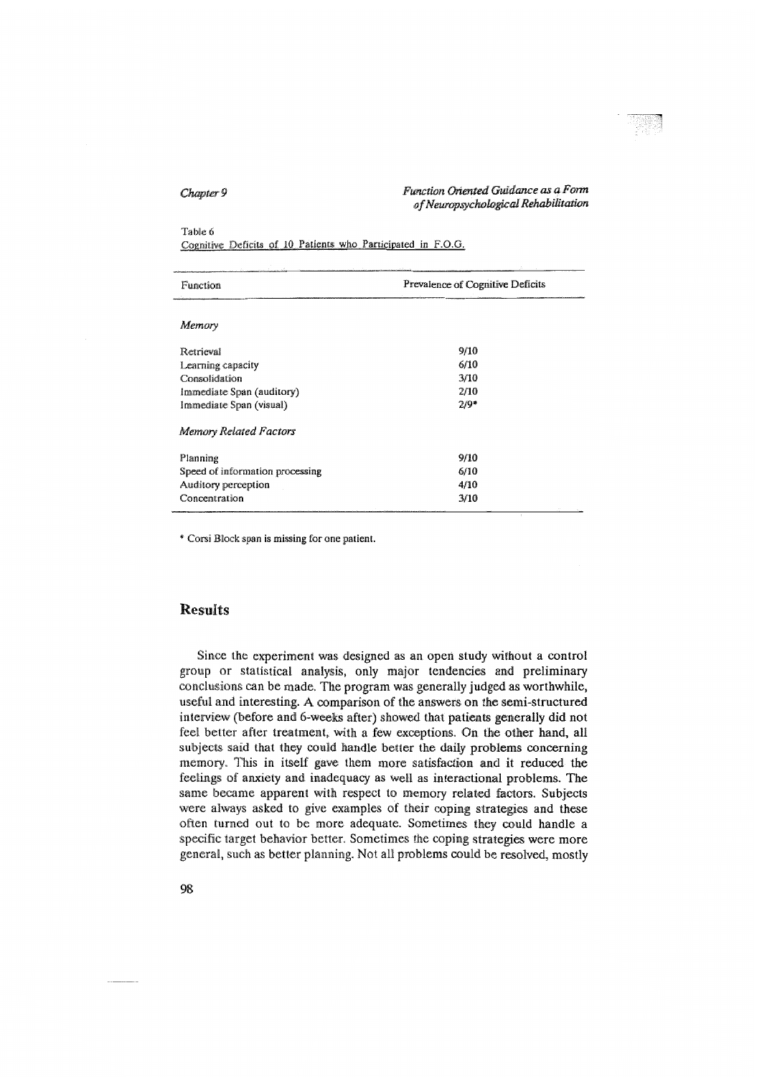### Table 6

Cognitive Deficits of 10 Patients who Participated in F.O.G.

| Function                        | Prevalence of Cognitive Deficits |  |  |
|---------------------------------|----------------------------------|--|--|
|                                 |                                  |  |  |
| Memory                          |                                  |  |  |
| Retrieval                       | 9/10                             |  |  |
| Learning capacity               | 6/10                             |  |  |
| Consolidation                   | 3/10                             |  |  |
| Immediate Span (auditory)       | 2/10                             |  |  |
| Immediate Span (visual)         | $2/9*$                           |  |  |
| Memory Related Factors          |                                  |  |  |
| Planning                        | 9/10                             |  |  |
| Speed of information processing | 6/10                             |  |  |
| Auditory perception             | 4/10                             |  |  |
| Concentration                   | 3/10                             |  |  |

\* Corsi Block span is missing for one patient.

## **Results**

Since the experiment was designed as an open study without a control group or statistical analysis, only major tendencies and preliminary conclusions can be made. The program was generally judged as worthwhile, useful and interesting. A comparison of the answers on the semi-structured interview (before and 6-weeks after) showed that patients generally did not feel better after treatment, with a few exceptions. On the other hand, all subjects said that they could handle better the daily problems concerning memory. This in itself gave them more satisfaction and it reduced the feelings of anxiety and inadequacy as well as interactional problems. The same became apparent with respect to memory related factors. Subjects were always asked to give examples of their coping strategies and these often turned out to be more adequate. Sometimes they could handle a specific target behavior better. Sometimes the coping strategies were more general, such as better planning. Not all problems could be resolved, mostly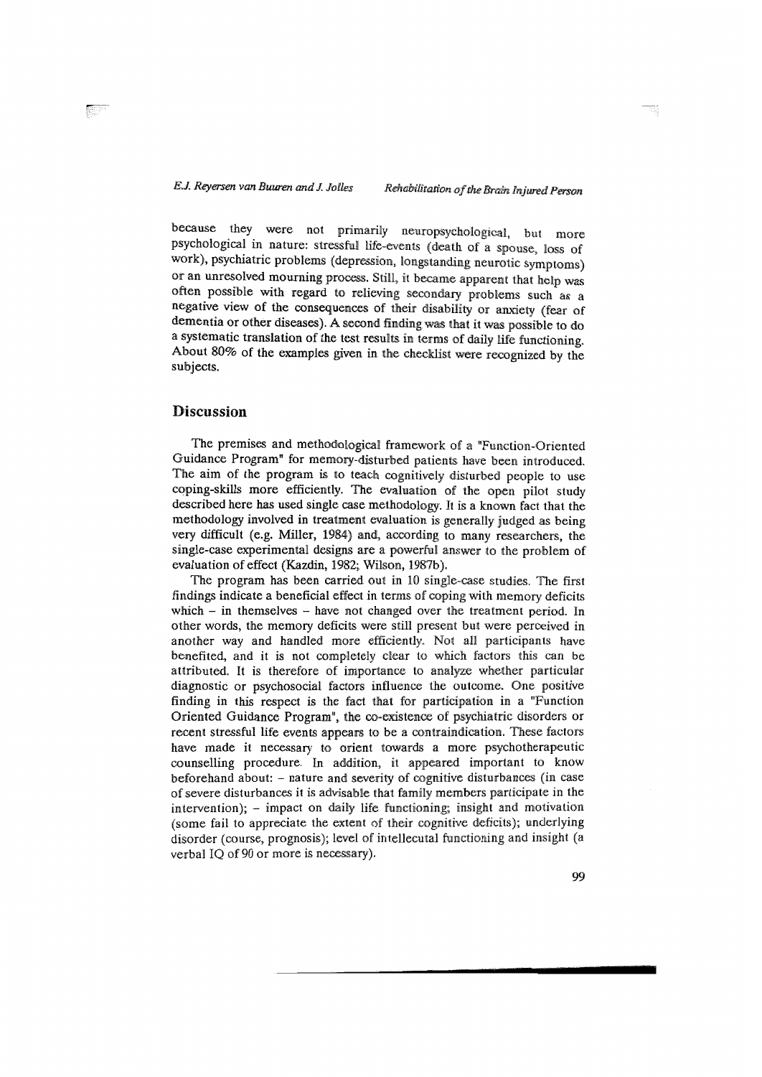because they were not primarily neuropsychological, but more<br>psychological in nature: stressful life-events (death of a spouse, loss of<br>work), psychiatric problems (depression, longstanding neurotic symptoms) or an unresolved mourning process. Still, it became apparent that help was<br>often possible with regard to relieving secondary problems such as a<br>negative view of the consequences of their disability or anxiety (fear of dementia or other diseases). A second finding was that it was possible to do<br>a systematic translation of the test results in terms of daily life functioning.<br>About 80% of the examples given in the checklist were recognized subjects.

# **Discussion**

The premises and methodological framework of a "Function-Oriented<br>Guidance Program" for memory-disturbed patients have been introduced.<br>The aim of the program is to teach cognitively disturbed people to use<br>coping-skills m were difficult (e.g. Miller, 1984) and, according to many researchers, the single-case experimental designs are a powerful answer to the problem of evaluation of effect (Kazdin, 1982; Wilson, 1987b).

The program has been carried out in 10 single-case studies. The first findings indicate a beneficial effect in terms of coping with memory deficits which - in themselves - have not changed over the treatment period. In other words, the memory deficits were still present but were perceived in<br>another way and handled more efficiently. Not all participants have another way and handled more efficiently. Not all participants have<br>benefited, and it is not completely clear to which factors this can be<br>attributed. It is therefore of importance to analyze whether particular<br>diagnostic explorative and the contraindication. These factors<br>have made it necessary to orient towards a more psychotherapeutic<br>counselling procedure. In addition, it appeared important to know counselling procedure. In addition, it appeared important to know<br>beforehand about: – nature and severity of cognitive disturbances (in case<br>of severe disturbances it is advisable that family members participate in the<br>int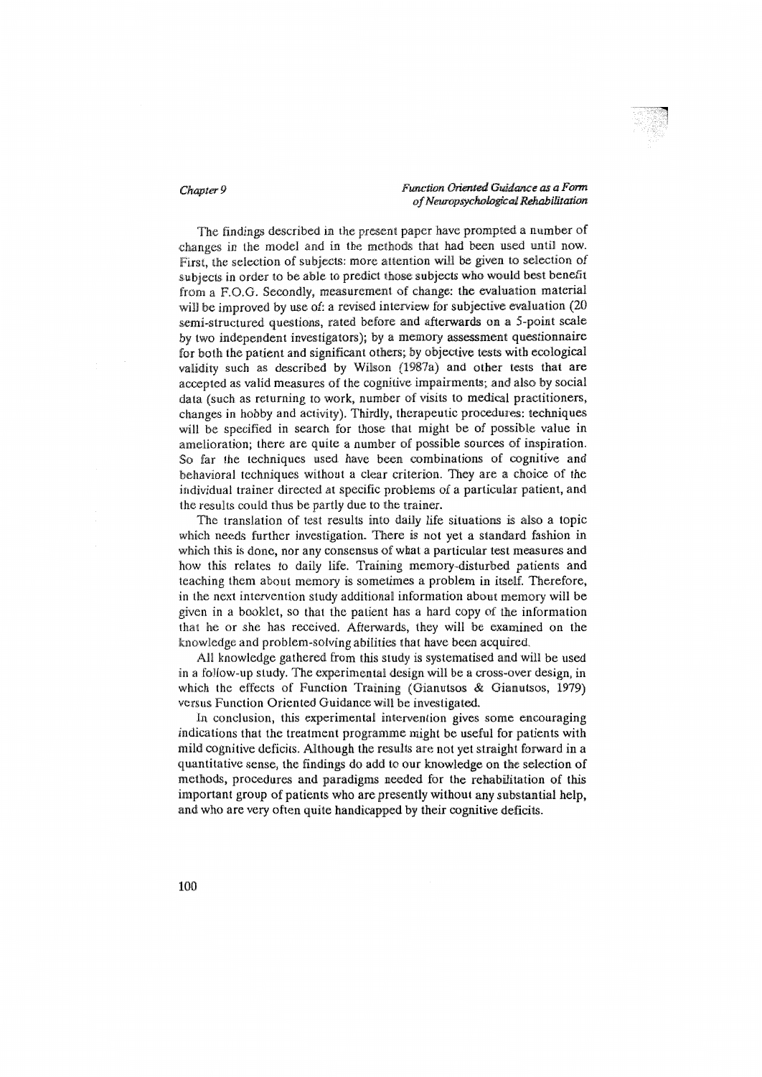The findings described in the present paper have prompted a number of changes in the model and in the methods that had been used until now. First, the selection of subjects: more attention will be given to selection of subjects in order to be able to predict those subjects who would best benefit from a F.O.G. Secondly, measurement of change: the evaluation material will be improved by use of: a revised interview for subjective evaluation (20 semi-structured questions, rated before and afterwards on a 5-point scale by two independent investigators); by a memory assessment questionnaire for both the patient and significant others; by objective tests with ecological validity such as described by Wilson (1987a) and other tests that are accepted as valid measures of the cognitive impairments; and also by social data (such as returning to work, number of visits to medical practitioners, changes in hobby and activity). Thirdly, therapeutic procedures: techniques will be specified in search for those that might be of possible value in amelioration; there are quite a number of possible sources of inspiration. So far the techniques used have been combinations of cognitive and behavioral techniques without a clear criterion. They are a choice of the individual trainer directed at specific problems of a particular patient, and the results could thus be partly due to the trainer.

The translation of test results into daily life situations is also a topic which needs further investigation. There is not yet a standard fashion in which this is done, nor any consensus of what a particular test measures and how this relates to daily life. Training memory-disturbed patients and teaching them about memory is sometimes a problem in itself. Therefore, in the next intervention study additional information about memory will be given in a booklet, so that the patient has a hard copy of the information that he or she has received. Afterwards, they will be examined on the knowledge and problem-solving abilities that have been acquired.

All knowledge gathered from this study is systematised and will be used in a follow-up study. The experimental design will be a cross-over design, in which the effects of Function Training (Gianutsos & Gianutsos, 1979) versus Function Oriented Guidance will be investigated.

In conclusion, this experimental intervention gives some encouraging indications that the treatment programme might be useful for patients with mild cognitive deficits. Although the results are not yet straight forward in a quantitative sense, the findings do add to our knowledge on the selection of methods, procedures and paradigms needed for the rehabilitation of this important group of patients who are presently without any substantial help, and who are very often quite handicapped by their cognitive deficits.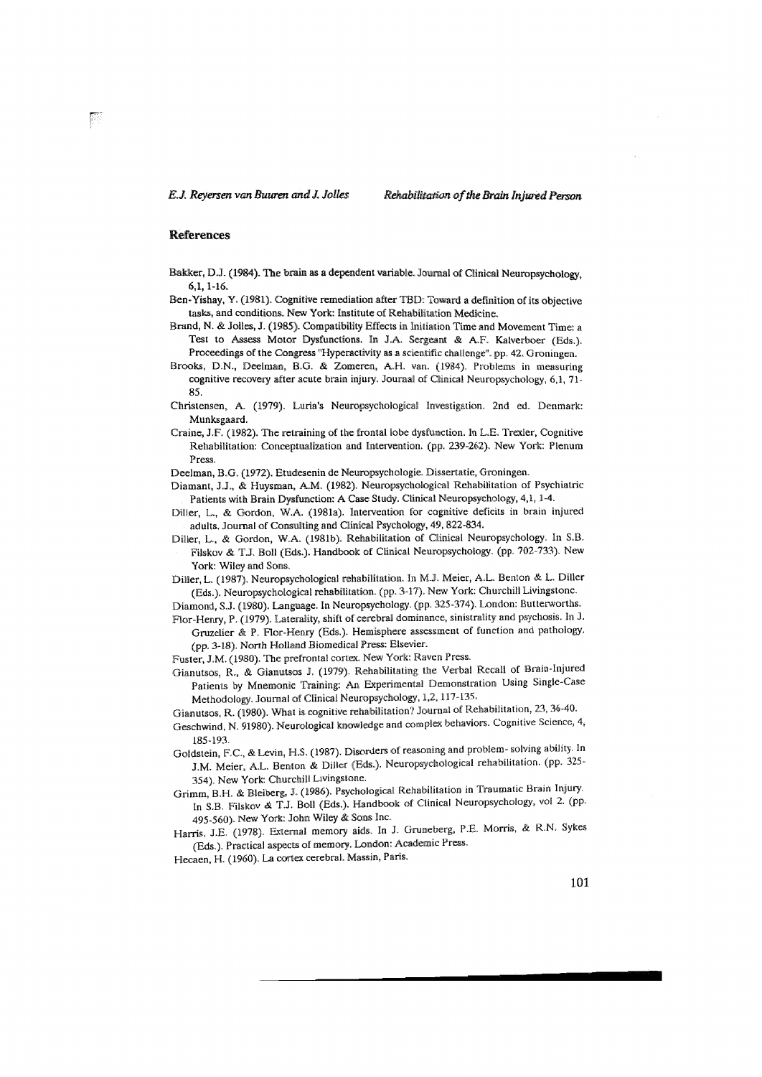## **References**

- Bakker, D.J. (1984). The brain as a dependent variable. Journal of Clinical Neuropsychology,  $6,1,1-16.$
- Ben-Yishay, Y. (1981). Cognitive remediation after TBD: Toward a definition of its objective tasks, and conditions. New York: Institute of Rehabilitation Medicine.
- Brand, N. & Jolles, J. (1985). Compatibility Effects in Initiation Time and Movement Time: a Test to Assess Motor Dysfunctions. In J.A. Sergeant & A.F. Kalverboer (Eds.). Proceedings of the Congress "Hyperactivity as a scientific challenge", pp. 42, Groningen.
- Brooks, D.N., Deelman, B.G. & Zomeren, A.H. van. (1984). Problems in measuring cognitive recovery after acute brain injury. Journal of Clinical Neuropsychology,  $6.1$ ,  $71$ -85.
- Christensen, A. (1979). Luria's Neuropsychological Investigation. 2nd ed. Denmark: Munksgaard.
- Craine, J.F. (1982). The retraining of the frontal lobe dysfunction. In L.E. Trexler, Cognitive Rehabilitation: Conceptualization and Intervention. (pp. 239-262). New York: Plenum Press.
- Deelman, B.G. (1972). Etudesenin de Neuropsychologie. Dissertatie, Groningen.
- Diamant, J.J., & Huysman, A.M. (1982). Neuropsychological Rehabilitation of Psychiatric Patients with Brain Dysfunction: A Case Study. Clinical Neuropsychology, 4,1, 1-4.
- Diller, L., & Gordon, W.A. (1981a). Intervention for cognitive deficits in brain injured adults. Journal of Consulting and Clinical Psychology, 49, 822-834.
- Diller, L., & Gordon, W.A. (1981b). Rehabilitation of Clinical Neuropsychology. In S.B. Filskov & T.J. Boll (Eds.). Handbook of Clinical Neuropsychology. (pp. 702-733). New York: Wiley and Sons.
- Diller, L. (1987). Neuropsychological rehabilitation. In M.J. Meier, A.L. Benton & L. Diller (Eds.). Neuropsychological rehabilitation. (pp. 3-17). New York: Churchill Livingstone.
- Diamond, S.J. (1980). Language. In Neuropsychology. (pp. 325-374). London: Butterworths.
- Flor-Henry, P. (1979). Laterality, shift of cerebral dominance, sinistrality and psychosis. In J. Gruzelier & P. Flor-Henry (Eds.). Hemisphere assessment of function and pathology. (pp. 3-18). North Holland Biomedical Press: Elsevier.
- Fuster, J.M. (1980). The prefrontal cortex. New York: Raven Press.
- Gianutsos, R., & Gianutsos J. (1979). Rehabilitating the Verbal Recall of Brain-Injured Patients by Mnemonic Training: An Experimental Demonstration Using Single-Case Methodology. Journal of Clinical Neuropsychology, 1,2, 117-135.
- Gianutsos, R. (1980). What is cognitive rehabilitation? Journal of Rehabilitation, 23, 36-40.
- Geschwind, N. 91980). Neurological knowledge and complex behaviors. Cognitive Science, 4, 185-193.
- Goldstein, F.C., & Levin, H.S. (1987). Disorders of reasoning and problem-solving ability. In J.M. Meier, A.L. Benton & Diller (Eds.). Neuropsychological rehabilitation. (pp. 325-354). New York: Churchill Livingstone.
- Grimm, B.H. & Bleiberg, J. (1986). Psychological Rehabilitation in Traumatic Brain Injury. In S.B. Filskov & T.J. Boll (Eds.). Handbook of Clinical Neuropsychology, vol 2. (pp. 495-560). New York: John Wiley & Sons Inc.
- Harris, J.E. (1978). External memory aids. In J. Gruneberg, P.E. Morris, & R.N. Sykes (Eds.). Practical aspects of memory. London: Academic Press.
- Hecaen, H. (1960). La cortex cerebral. Massin, Paris.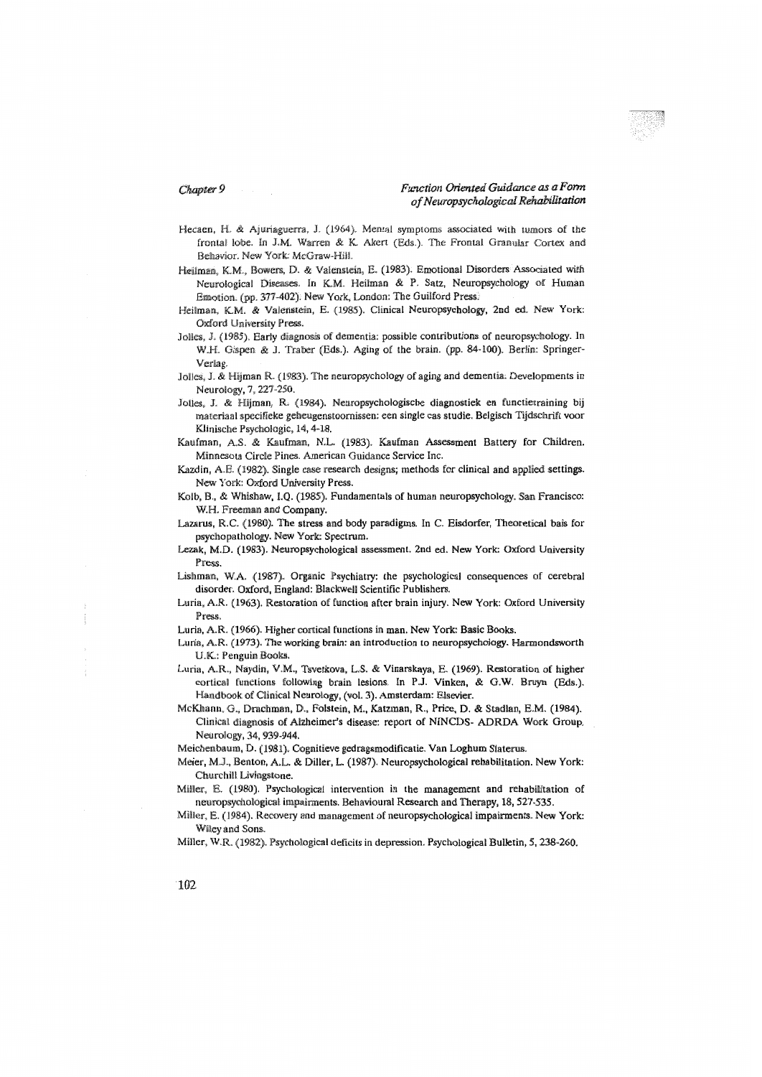- Hecaen, H. & Ajuriaguerra, J. (1964). Mental symptoms associated with tumors of the frontal lobe. In J.M. Warren & K. Akert (Eds.). The Frontal Granular Cortex and Behavior. New York: McGraw-Hill.
- Heilman, K.M., Bowers, D. & Valenstein, E. (1983). Emotional Disorders Associated with Neurological Diseases. In K.M. Heilman & P. Satz, Neuropsychology of Human Emotion. (pp. 377-402). New York, London: The Guilford Press.
- Heilman, K.M. & Valenstein, E. (1985). Clinical Neuropsychology, 2nd ed. New York: Oxford University Press.
- Jolles, J. (1985). Early diagnosis of dementia: possible contributions of neuropsychology. In W.H. Gispen & J. Traber (Eds.). Aging of the brain. (pp. 84-100). Berlin: Springer-Verlag.
- Jolles, J. & Hijman R. (1983). The neuropsychology of aging and dementia. Developments in Neurology, 7, 227-250.
- Jolles, J. & Hijman, R. (1984). Neuropsychologische diagnostiek en functietraining bij materiaal specifieke geheugenstoornissen: een single cas studie. Belgisch Tijdschrift voor Klinische Psychologic, 14, 4-18.
- Kaufman, A.S. & Kaufman, N.L. (1983). Kaufman Assessment Battery for Children. Minnesota Circle Pines. American Guidance Service Inc.
- Kazdin, A.E. (1982). Single case research designs; methods for clinical and applied settings. New York: Oxford University Press.
- Kolb, B., & Whishaw, I.Q. (1985). Fundamentals of human neuropsychology. San Francisco: W.H. Freeman and Company.
- Lazarus, R.C. (1980). The stress and body paradigms. In C. Eisdorfer, Theoretical bais for psychopathology. New York: Spectrum.
- Lezak, M.D. (1983). Neuropsychological assessment. 2nd ed. New York: Oxford University Press.
- Lishman, W.A. (1987). Organic Psychiatry: the psychological consequences of cerebral disorder. Oxford, England: Blackwell Scientific Publishers.
- Luria, A.R. (1963). Restoration of function after brain injury. New York: Oxford University Press.
- Luria, A.R. (1966). Higher cortical functions in man. New York: Basic Books.
- Luria, A.R. (1973). The working brain: an introduction to neuropsychology. Harmondsworth U.K.: Penguin Books.
- Luria, A.R., Naydin, V.M., Tsvetkova, L.S. & Vinarskaya, E. (1969). Restoration of higher cortical functions following brain lesions. In P.J. Vinken, & G.W. Bruyn (Eds.). Handbook of Clinical Neurology, (vol. 3). Amsterdam: Elsevier.
- McKhann, G., Drachman, D., Folstein, M., Katzman, R., Price, D. & Stadlan, E.M. (1984). Clinical diagnosis of Alzheimer's disease: report of NINCDS- ADRDA Work Group. Neurology, 34, 939-944.
- Meichenbaum, D. (1981). Cognitieve gedragsmodificatie. Van Loghum Slaterus.
- Meier, M.J., Benton, A.L. & Diller, L. (1987). Neuropsychological rehabilitation. New York: Churchill Livingstone.
- Miller, E. (1980). Psychological intervention in the management and rehabilitation of neuropsychological impairments. Behavioural Research and Therapy, 18, 527-535.
- Miller, E. (1984). Recovery and management of neuropsychological impairments. New York: Wiley and Sons.
- Miller, W.R. (1982). Psychological deficits in depression. Psychological Bulletin, 5, 238-260.